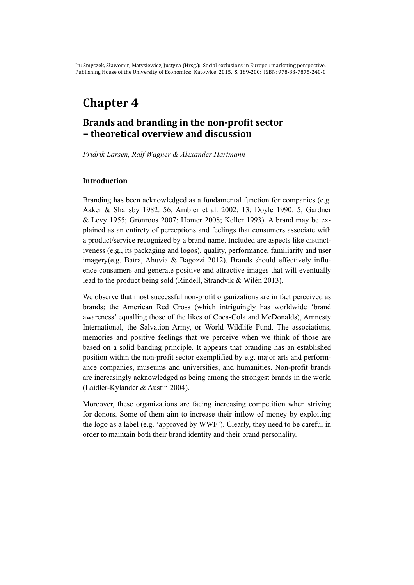# **Chapter 4**

# **Brands and branding in the non-profit sector − theoretical overview and discussion**

*Fridrik Larsen, Ralf Wagner & Alexander Hartmann* 

### **Introduction**

Branding has been acknowledged as a fundamental function for companies (e.g. Aaker & Shansby 1982: 56; Ambler et al. 2002: 13; Doyle 1990: 5; Gardner & Levy 1955; Grönroos 2007; Homer 2008; Keller 1993). A brand may be explained as an entirety of perceptions and feelings that consumers associate with a product/service recognized by a brand name. Included are aspects like distinctiveness (e.g., its packaging and logos), quality, performance, familiarity and user imagery(e.g. Batra, Ahuvia & Bagozzi 2012). Brands should effectively influence consumers and generate positive and attractive images that will eventually lead to the product being sold (Rindell, Strandvik & Wilén 2013).

We observe that most successful non-profit organizations are in fact perceived as brands; the American Red Cross (which intriguingly has worldwide 'brand awareness' equalling those of the likes of Coca-Cola and McDonalds), Amnesty International, the Salvation Army, or World Wildlife Fund. The associations, memories and positive feelings that we perceive when we think of those are based on a solid banding principle. It appears that branding has an established position within the non-profit sector exemplified by e.g. major arts and performance companies, museums and universities, and humanities. Non-profit brands are increasingly acknowledged as being among the strongest brands in the world (Laidler-Kylander & Austin 2004).

Moreover, these organizations are facing increasing competition when striving for donors. Some of them aim to increase their inflow of money by exploiting the logo as a label (e.g. 'approved by WWF'). Clearly, they need to be careful in order to maintain both their brand identity and their brand personality.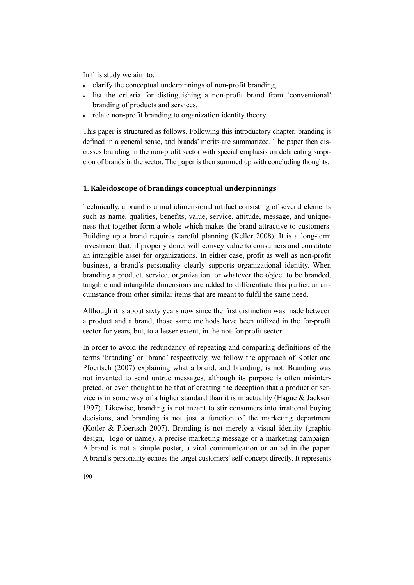In this study we aim to:

- clarify the conceptual underpinnings of non-profit branding,
- list the criteria for distinguishing a non-profit brand from 'conventional' branding of products and services,
- relate non-profit branding to organization identity theory.

This paper is structured as follows. Following this introductory chapter, branding is defined in a general sense, and brands' merits are summarized. The paper then discusses branding in the non-profit sector with special emphasis on delineating suspicion of brands in the sector. The paper is then summed up with concluding thoughts.

## **1. Kaleidoscope of brandings conceptual underpinnings**

Technically, a brand is a multidimensional artifact consisting of several elements such as name, qualities, benefits, value, service, attitude, message, and uniqueness that together form a whole which makes the brand attractive to customers. Building up a brand requires careful planning (Keller 2008). It is a long-term investment that, if properly done, will convey value to consumers and constitute an intangible asset for organizations. In either case, profit as well as non-profit business, a brand's personality clearly supports organizational identity. When branding a product, service, organization, or whatever the object to be branded, tangible and intangible dimensions are added to differentiate this particular circumstance from other similar items that are meant to fulfil the same need.

Although it is about sixty years now since the first distinction was made between a product and a brand, those same methods have been utilized in the for-profit sector for years, but, to a lesser extent, in the not-for-profit sector.

In order to avoid the redundancy of repeating and comparing definitions of the terms 'branding' or 'brand' respectively, we follow the approach of Kotler and Pfoertsch (2007) explaining what a brand, and branding, is not. Branding was not invented to send untrue messages, although its purpose is often misinterpreted, or even thought to be that of creating the deception that a product or service is in some way of a higher standard than it is in actuality (Hague  $\&$  Jackson 1997). Likewise, branding is not meant to stir consumers into irrational buying decisions, and branding is not just a function of the marketing department (Kotler & Pfoertsch 2007). Branding is not merely a visual identity (graphic design, logo or name), a precise marketing message or a marketing campaign. A brand is not a simple poster, a viral communication or an ad in the paper. A brand's personality echoes the target customers' self-concept directly. It represents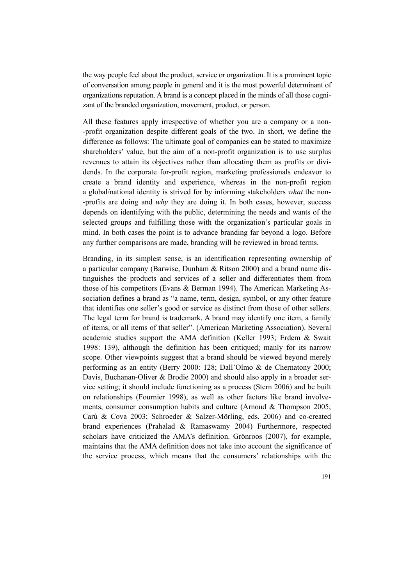the way people feel about the product, service or organization. It is a prominent topic of conversation among people in general and it is the most powerful determinant of organizations reputation. A brand is a concept placed in the minds of all those cognizant of the branded organization, movement, product, or person.

All these features apply irrespective of whether you are a company or a non- -profit organization despite different goals of the two. In short, we define the difference as follows: The ultimate goal of companies can be stated to maximize shareholders' value, but the aim of a non-profit organization is to use surplus revenues to attain its objectives rather than allocating them as profits or dividends. In the corporate for-profit region, marketing professionals endeavor to create a brand identity and experience, whereas in the non-profit region a global/national identity is strived for by informing stakeholders *what* the non- -profits are doing and *why* they are doing it. In both cases, however, success depends on identifying with the public, determining the needs and wants of the selected groups and fulfilling those with the organization's particular goals in mind. In both cases the point is to advance branding far beyond a logo. Before any further comparisons are made, branding will be reviewed in broad terms.

Branding, in its simplest sense, is an identification representing ownership of a particular company (Barwise, Dunham & Ritson 2000) and a brand name distinguishes the products and services of a seller and differentiates them from those of his competitors (Evans & Berman 1994). The American Marketing Association defines a brand as "a name, term, design, symbol, or any other feature that identifies one seller's good or service as distinct from those of other sellers. The legal term for brand is trademark. A brand may identify one item, a family of items, or all items of that seller". (American Marketing Association). Several academic studies support the AMA definition (Keller 1993; Erdem & Swait 1998: 139), although the definition has been critiqued; manly for its narrow scope. Other viewpoints suggest that a brand should be viewed beyond merely performing as an entity (Berry 2000: 128; Dall'Olmo & de Chernatony 2000; Davis, Buchanan-Oliver & Brodie 2000) and should also apply in a broader service setting; it should include functioning as a process (Stern 2006) and be built on relationships (Fournier 1998), as well as other factors like brand involvements, consumer consumption habits and culture (Arnoud & Thompson 2005; Carù & Cova 2003; Schroeder & Salzer-Mörling, eds. 2006) and co-created brand experiences (Prahalad & Ramaswamy 2004) Furthermore, respected scholars have criticized the AMA's definition. Grönroos (2007), for example, maintains that the AMA definition does not take into account the significance of the service process, which means that the consumers' relationships with the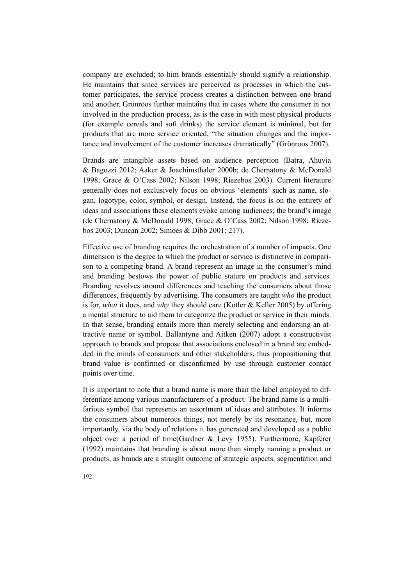company are excluded; to him brands essentially should signify a relationship. He maintains that since services are perceived as processes in which the customer participates, the service process creates a distinction between one brand and another. Grönroos further maintains that in cases where the consumer in not involved in the production process, as is the case in with most physical products (for example cereals and soft drinks) the service element is minimal, but for products that are more service oriented, "the situation changes and the importance and involvement of the customer increases dramatically" (Grönroos 2007).

Brands are intangible assets based on audience perception (Batra, Ahuvia & Bagozzi 2012; Aaker & Joachimsthaler 2000b; de Chernatony & McDonald 1998; Grace & O'Cass 2002; Nilson 1998; Riezebos 2003). Current literature generally does not exclusively focus on obvious 'elements' such as name, slogan, logotype, color, symbol, or design. Instead, the focus is on the entirety of ideas and associations these elements evoke among audiences; the brand's image (de Chernatony & McDonald 1998; Grace & O'Cass 2002; Nilson 1998; Riezebos 2003; Duncan 2002; Simoes & Dibb 2001: 217).

Effective use of branding requires the orchestration of a number of impacts. One dimension is the degree to which the product or service is distinctive in comparison to a competing brand. A brand represent an image in the consumer's mind and branding bestows the power of public stature on products and services. Branding revolves around differences and teaching the consumers about those differences, frequently by advertising. The consumers are taught *who* the product is for, *what* it does, and *why* they should care (Kotler & Keller 2005) by offering a mental structure to aid them to categorize the product or service in their minds. In that sense, branding entails more than merely selecting and endorsing an attractive name or symbol. Ballantyne and Aitken (2007) adopt a constructivist approach to brands and propose that associations enclosed in a brand are embedded in the minds of consumers and other stakeholders, thus propositioning that brand value is confirmed or disconfirmed by use through customer contact points over time.

It is important to note that a brand name is more than the label employed to differentiate among various manufacturers of a product. The brand name is a multifarious symbol that represents an assortment of ideas and attributes. It informs the consumers about numerous things, not merely by its resonance, but, more importantly, via the body of relations it has generated and developed as a public object over a period of time(Gardner & Levy 1955). Furthermore, Kapferer (1992) maintains that branding is about more than simply naming a product or products, as brands are a straight outcome of strategic aspects, segmentation and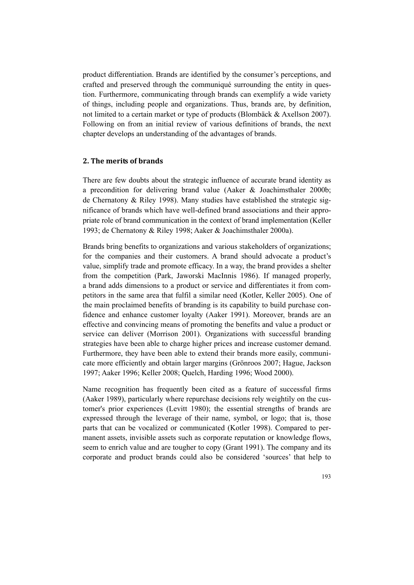product differentiation. Brands are identified by the consumer's perceptions, and crafted and preserved through the communiqué surrounding the entity in question. Furthermore, communicating through brands can exemplify a wide variety of things, including people and organizations. Thus, brands are, by definition, not limited to a certain market or type of products (Blombäck & Axellson 2007). Following on from an initial review of various definitions of brands, the next chapter develops an understanding of the advantages of brands.

### **2. The merits of brands**

There are few doubts about the strategic influence of accurate brand identity as a precondition for delivering brand value (Aaker & Joachimsthaler 2000b; de Chernatony & Riley 1998). Many studies have established the strategic significance of brands which have well-defined brand associations and their appropriate role of brand communication in the context of brand implementation (Keller 1993; de Chernatony & Riley 1998; Aaker & Joachimsthaler 2000a).

Brands bring benefits to organizations and various stakeholders of organizations; for the companies and their customers. A brand should advocate a product's value, simplify trade and promote efficacy. In a way, the brand provides a shelter from the competition (Park, Jaworski MacInnis 1986). If managed properly, a brand adds dimensions to a product or service and differentiates it from competitors in the same area that fulfil a similar need (Kotler, Keller 2005). One of the main proclaimed benefits of branding is its capability to build purchase confidence and enhance customer loyalty (Aaker 1991). Moreover, brands are an effective and convincing means of promoting the benefits and value a product or service can deliver (Morrison 2001). Organizations with successful branding strategies have been able to charge higher prices and increase customer demand. Furthermore, they have been able to extend their brands more easily, communicate more efficiently and obtain larger margins (Grönroos 2007; Hague, Jackson 1997; Aaker 1996; Keller 2008; Quelch, Harding 1996; Wood 2000).

Name recognition has frequently been cited as a feature of successful firms (Aaker 1989), particularly where repurchase decisions rely weightily on the customer's prior experiences (Levitt 1980); the essential strengths of brands are expressed through the leverage of their name, symbol, or logo; that is, those parts that can be vocalized or communicated (Kotler 1998). Compared to permanent assets, invisible assets such as corporate reputation or knowledge flows, seem to enrich value and are tougher to copy (Grant 1991). The company and its corporate and product brands could also be considered 'sources' that help to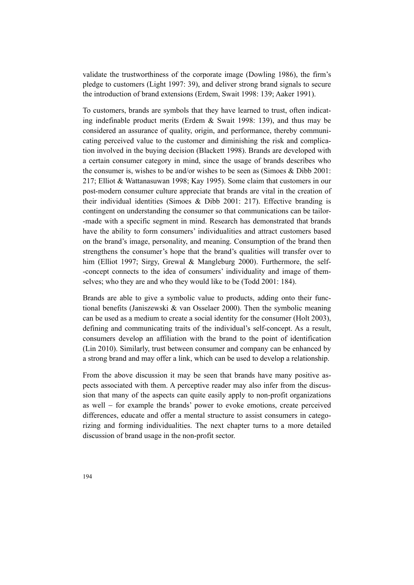validate the trustworthiness of the corporate image (Dowling 1986), the firm's pledge to customers (Light 1997: 39), and deliver strong brand signals to secure the introduction of brand extensions (Erdem, Swait 1998: 139; Aaker 1991).

To customers, brands are symbols that they have learned to trust, often indicating indefinable product merits (Erdem & Swait 1998: 139), and thus may be considered an assurance of quality, origin, and performance, thereby communicating perceived value to the customer and diminishing the risk and complication involved in the buying decision (Blackett 1998). Brands are developed with a certain consumer category in mind, since the usage of brands describes who the consumer is, wishes to be and/or wishes to be seen as (Simoes & Dibb 2001: 217; Elliot & Wattanasuwan 1998; Kay 1995). Some claim that customers in our post-modern consumer culture appreciate that brands are vital in the creation of their individual identities (Simoes  $\&$  Dibb 2001: 217). Effective branding is contingent on understanding the consumer so that communications can be tailor- -made with a specific segment in mind. Research has demonstrated that brands have the ability to form consumers' individualities and attract customers based on the brand's image, personality, and meaning. Consumption of the brand then strengthens the consumer's hope that the brand's qualities will transfer over to him (Elliot 1997; Sirgy, Grewal & Mangleburg 2000). Furthermore, the self--concept connects to the idea of consumers' individuality and image of themselves; who they are and who they would like to be (Todd 2001: 184).

Brands are able to give a symbolic value to products, adding onto their functional benefits (Janiszewski & van Osselaer 2000). Then the symbolic meaning can be used as a medium to create a social identity for the consumer (Holt 2003), defining and communicating traits of the individual's self-concept. As a result, consumers develop an affiliation with the brand to the point of identification (Lin 2010). Similarly, trust between consumer and company can be enhanced by a strong brand and may offer a link, which can be used to develop a relationship.

From the above discussion it may be seen that brands have many positive aspects associated with them. A perceptive reader may also infer from the discussion that many of the aspects can quite easily apply to non-profit organizations as well − for example the brands' power to evoke emotions, create perceived differences, educate and offer a mental structure to assist consumers in categorizing and forming individualities. The next chapter turns to a more detailed discussion of brand usage in the non-profit sector.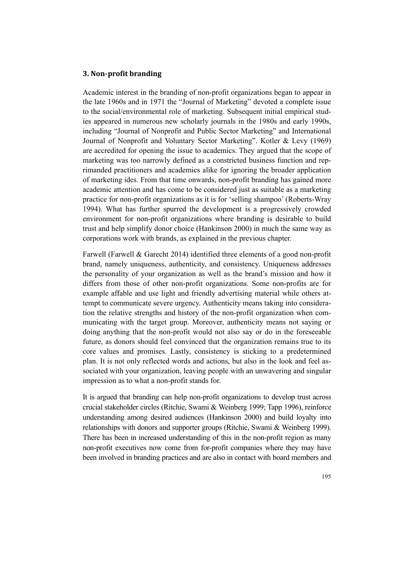### **3. Non-profit branding**

Academic interest in the branding of non-profit organizations began to appear in the late 1960s and in 1971 the "Journal of Marketing" devoted a complete issue to the social/environmental role of marketing. Subsequent initial empirical studies appeared in numerous new scholarly journals in the 1980s and early 1990s, including "Journal of Nonprofit and Public Sector Marketing" and International Journal of Nonprofit and Voluntary Sector Marketing". Kotler & Levy (1969) are accredited for opening the issue to academics. They argued that the scope of marketing was too narrowly defined as a constricted business function and reprimanded practitioners and academics alike for ignoring the broader application of marketing ides. From that time onwards, non-profit branding has gained more academic attention and has come to be considered just as suitable as a marketing practice for non-profit organizations as it is for 'selling shampoo' (Roberts-Wray 1994). What has further spurred the development is a progressively crowded environment for non-profit organizations where branding is desirable to build trust and help simplify donor choice (Hankinson 2000) in much the same way as corporations work with brands, as explained in the previous chapter.

Farwell (Farwell & Garecht 2014) identified three elements of a good non-profit brand, namely uniqueness, authenticity, and consistency. Uniqueness addresses the personality of your organization as well as the brand's mission and how it differs from those of other non-profit organizations. Some non-profits are for example affable and use light and friendly advertising material while others attempt to communicate severe urgency. Authenticity means taking into consideration the relative strengths and history of the non-profit organization when communicating with the target group. Moreover, authenticity means not saying or doing anything that the non-profit would not also say or do in the foreseeable future, as donors should feel convinced that the organization remains true to its core values and promises. Lastly, consistency is sticking to a predetermined plan. It is not only reflected words and actions, but also in the look and feel associated with your organization, leaving people with an unwavering and singular impression as to what a non-profit stands for.

It is argued that branding can help non-profit organizations to develop trust across crucial stakeholder circles (Ritchie, Swami & Weinberg 1999; Tapp 1996), reinforce understanding among desired audiences (Hankinson 2000) and build loyalty into relationships with donors and supporter groups (Ritchie, Swami & Weinberg 1999). There has been in increased understanding of this in the non-profit region as many non-profit executives now come from for-profit companies where they may have been involved in branding practices and are also in contact with board members and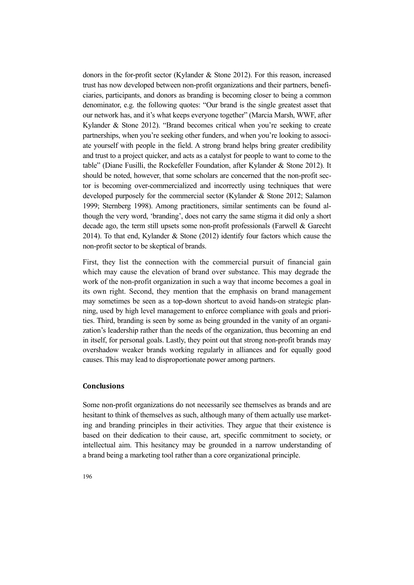donors in the for-profit sector (Kylander & Stone 2012). For this reason, increased trust has now developed between non-profit organizations and their partners, beneficiaries, participants, and donors as branding is becoming closer to being a common denominator, e.g. the following quotes: "Our brand is the single greatest asset that our network has, and it's what keeps everyone together" (Marcia Marsh, WWF, after Kylander & Stone 2012). "Brand becomes critical when you're seeking to create partnerships, when you're seeking other funders, and when you're looking to associate yourself with people in the field. A strong brand helps bring greater credibility and trust to a project quicker, and acts as a catalyst for people to want to come to the table" (Diane Fusilli, the Rockefeller Foundation, after Kylander & Stone 2012). It should be noted, however, that some scholars are concerned that the non-profit sector is becoming over-commercialized and incorrectly using techniques that were developed purposely for the commercial sector (Kylander & Stone 2012; Salamon 1999; Sternberg 1998). Among practitioners, similar sentiments can be found although the very word, 'branding', does not carry the same stigma it did only a short decade ago, the term still upsets some non-profit professionals (Farwell & Garecht 2014). To that end, Kylander  $\&$  Stone (2012) identify four factors which cause the non-profit sector to be skeptical of brands.

First, they list the connection with the commercial pursuit of financial gain which may cause the elevation of brand over substance. This may degrade the work of the non-profit organization in such a way that income becomes a goal in its own right. Second, they mention that the emphasis on brand management may sometimes be seen as a top-down shortcut to avoid hands-on strategic planning, used by high level management to enforce compliance with goals and priorities. Third, branding is seen by some as being grounded in the vanity of an organization's leadership rather than the needs of the organization, thus becoming an end in itself, for personal goals. Lastly, they point out that strong non-profit brands may overshadow weaker brands working regularly in alliances and for equally good causes. This may lead to disproportionate power among partners.

#### **Conclusions**

Some non-profit organizations do not necessarily see themselves as brands and are hesitant to think of themselves as such, although many of them actually use marketing and branding principles in their activities. They argue that their existence is based on their dedication to their cause, art, specific commitment to society, or intellectual aim. This hesitancy may be grounded in a narrow understanding of a brand being a marketing tool rather than a core organizational principle.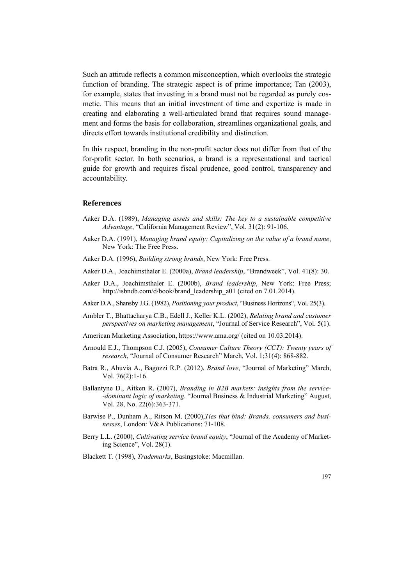Such an attitude reflects a common misconception, which overlooks the strategic function of branding. The strategic aspect is of prime importance; Tan (2003), for example, states that investing in a brand must not be regarded as purely cosmetic. This means that an initial investment of time and expertize is made in creating and elaborating a well-articulated brand that requires sound management and forms the basis for collaboration, streamlines organizational goals, and directs effort towards institutional credibility and distinction.

In this respect, branding in the non-profit sector does not differ from that of the for-profit sector. In both scenarios, a brand is a representational and tactical guide for growth and requires fiscal prudence, good control, transparency and accountability.

#### **References**

- Aaker D.A. (1989), *Managing assets and skills: The key to a sustainable competitive Advantage*, "California Management Review", Vol. 31(2): 91-106.
- Aaker D.A. (1991), *Managing brand equity: Capitalizing on the value of a brand name*, New York: The Free Press.
- Aaker D.A. (1996), *Building strong brands*, New York: Free Press.
- Aaker D.A., Joachimsthaler E. (2000a), *Brand leadership*, "Brandweek", Vol. 41(8): 30.
- Aaker D.A., Joachimsthaler E. (2000b), *Brand leadership*, New York: Free Press; http://isbndb.com/d/book/brand\_leadership\_a01 (cited on 7.01.2014).
- Aaker D.A., Shansby J.G. (1982), *Positioning your product*, "Business Horizons", Vol. 25(3).
- Ambler T., Bhattacharya C.B., Edell J., Keller K.L. (2002), *Relating brand and customer perspectives on marketing management*, "Journal of Service Research", Vol. 5(1).
- American Marketing Association, https://www.ama.org/ (cited on 10.03.2014).
- Arnould E.J., Thompson C.J. (2005), *Consumer Culture Theory (CCT): Twenty years of research*, "Journal of Consumer Research" March, Vol. 1;31(4): 868-882.
- Batra R., Ahuvia A., Bagozzi R.P. (2012), *Brand love*, "Journal of Marketing" March, Vol. 76(2):1-16.
- Ballantyne D., Aitken R. (2007), *Branding in B2B markets: insights from the service- -dominant logic of marketing*. "Journal Business & Industrial Marketing" August, Vol. 28, No. 22(6):363-371.
- Barwise P., Dunham A., Ritson M. (2000),*Ties that bind: Brands, consumers and businesses*, London: V&A Publications: 71-108.
- Berry L.L. (2000), *Cultivating service brand equity*, "Journal of the Academy of Marketing Science", Vol. 28(1).
- Blackett T. (1998), *Trademarks*, Basingstoke: Macmillan.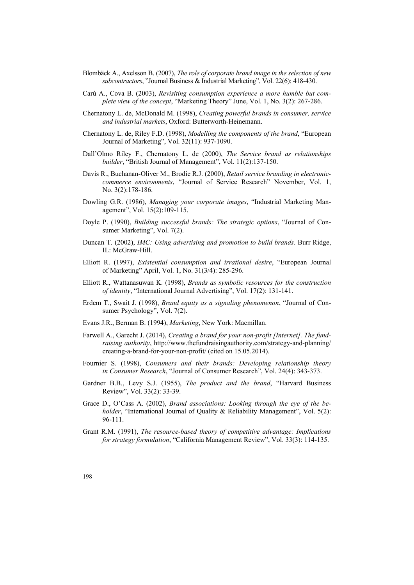- Blombäck A., Axelsson B. (2007), *The role of corporate brand image in the selection of new subcontractors*, "Journal Business & Industrial Marketing", Vol. 22(6): 418-430.
- Carù A., Cova B. (2003), *Revisiting consumption experience a more humble but complete view of the concept*, "Marketing Theory" June, Vol. 1, No. 3(2): 267-286.
- Chernatony L. de, McDonald M. (1998), *Creating powerful brands in consumer, service and industrial markets*, Oxford: Butterworth-Heinemann.
- Chernatony L. de, Riley F.D. (1998), *Modelling the components of the brand*, "European Journal of Marketing", Vol. 32(11): 937-1090.
- Dall'Olmo Riley F., Chernatony L. de (2000), *The Service brand as relationships builder*, "British Journal of Management", Vol. 11(2):137-150.
- Davis R., Buchanan-Oliver M., Brodie R.J. (2000), *Retail service branding in electroniccommerce environments*, "Journal of Service Research" November, Vol. 1, No. 3(2):178-186.
- Dowling G.R. (1986), *Managing your corporate images*, "Industrial Marketing Management", Vol. 15(2):109-115.
- Doyle P. (1990), *Building successful brands: The strategic options*, "Journal of Consumer Marketing", Vol. 7(2).
- Duncan T. (2002), *IMC: Using advertising and promotion to build brands*. Burr Ridge, IL: McGraw-Hill.
- Elliott R. (1997), *Existential consumption and irrational desire*, "European Journal of Marketing" April, Vol. 1, No. 31(3/4): 285-296.
- Elliott R., Wattanasuwan K. (1998), *Brands as symbolic resources for the construction of identity*, "International Journal Advertising", Vol. 17(2): 131-141.
- Erdem T., Swait J. (1998), *Brand equity as a signaling phenomenon*, "Journal of Consumer Psychology", Vol. 7(2).
- Evans J.R., Berman B. (1994), *Marketing*, New York: Macmillan.
- Farwell A., Garecht J. (2014), *Creating a brand for your non-profit [Internet]. The fundraising authority*, http://www.thefundraisingauthority.com/strategy-and-planning/ creating-a-brand-for-your-non-profit/ (cited on 15.05.2014).
- Fournier S. (1998), *Consumers and their brands: Developing relationship theory in Consumer Research*, "Journal of Consumer Research", Vol. 24(4): 343-373.
- Gardner B.B., Levy S.J. (1955), *The product and the brand*, "Harvard Business Review", Vol. 33(2): 33-39.
- Grace D., O'Cass A. (2002), *Brand associations: Looking through the eye of the beholder*, "International Journal of Quality & Reliability Management", Vol. 5(2): 96-111.
- Grant R.M. (1991), *The resource-based theory of competitive advantage: Implications for strategy formulation*, "California Management Review", Vol. 33(3): 114-135.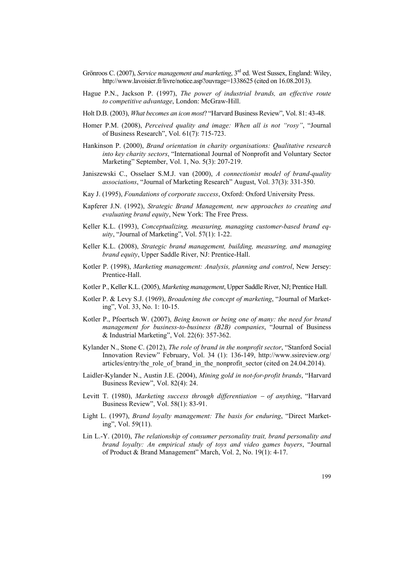- Grönroos C. (2007), *Service management and marketing*, 3rd ed. West Sussex, England: Wiley, http://www.lavoisier.fr/livre/notice.asp?ouvrage=1338625 (cited on 16.08.2013).
- Hague P.N., Jackson P. (1997), *The power of industrial brands, an effective route to competitive advantage*, London: McGraw-Hill.
- Holt D.B. (2003), *What becomes an icon most*? "Harvard Business Review", Vol. 81: 43-48.
- Homer P.M. (2008), *Perceived quality and image: When all is not "rosy"*, "Journal of Business Research", Vol. 61(7): 715-723.
- Hankinson P. (2000), *Brand orientation in charity organisations: Qualitative research into key charity sectors*, "International Journal of Nonprofit and Voluntary Sector Marketing" September, Vol. 1, No. 5(3): 207-219.
- Janiszewski C., Osselaer S.M.J. van (2000), *A connectionist model of brand-quality associations*, "Journal of Marketing Research" August, Vol. 37(3): 331-350.
- Kay J. (1995), *Foundations of corporate success*, Oxford: Oxford University Press.
- Kapferer J.N. (1992), *Strategic Brand Management, new approaches to creating and evaluating brand equity*, New York: The Free Press.
- Keller K.L. (1993), *Conceptualizing, measuring, managing customer-based brand equity*, "Journal of Marketing", Vol. 57(1): 1-22.
- Keller K.L. (2008), *Strategic brand management, building, measuring, and managing brand equity*, Upper Saddle River, NJ: Prentice-Hall.
- Kotler P. (1998), *Marketing management: Analysis, planning and control*, New Jersey: Prentice-Hall.
- Kotler P., Keller K.L. (2005), *Marketing management*, Upper Saddle River, NJ; Prentice Hall.
- Kotler P. & Levy S.J. (1969), *Broadening the concept of marketing*, "Journal of Marketing", Vol. 33, No. 1: 10-15.
- Kotler P., Pfoertsch W. (2007), *Being known or being one of many: the need for brand management for business-to-business (B2B) companies*, "Journal of Business & Industrial Marketing", Vol. 22(6): 357-362.
- Kylander N., Stone C. (2012), *The role of brand in the nonprofit sector*, "Stanford Social Innovation Review" February, Vol. 34 (1): 136-149, http://www.ssireview.org/ articles/entry/the role of brand in the nonprofit sector (cited on 24.04.2014).
- Laidler-Kylander N., Austin J.E. (2004), *Mining gold in not-for-profit brands*, "Harvard Business Review", Vol. 82(4): 24.
- Levitt T. (1980), *Marketing success through differentiation* − *of anything*, "Harvard Business Review", Vol. 58(1): 83-91.
- Light L. (1997), *Brand loyalty management: The basis for enduring*, "Direct Marketing", Vol. 59(11).
- Lin L.-Y. (2010), *The relationship of consumer personality trait, brand personality and brand loyalty: An empirical study of toys and video games buyers*, "Journal of Product & Brand Management" March, Vol. 2, No. 19(1): 4-17.